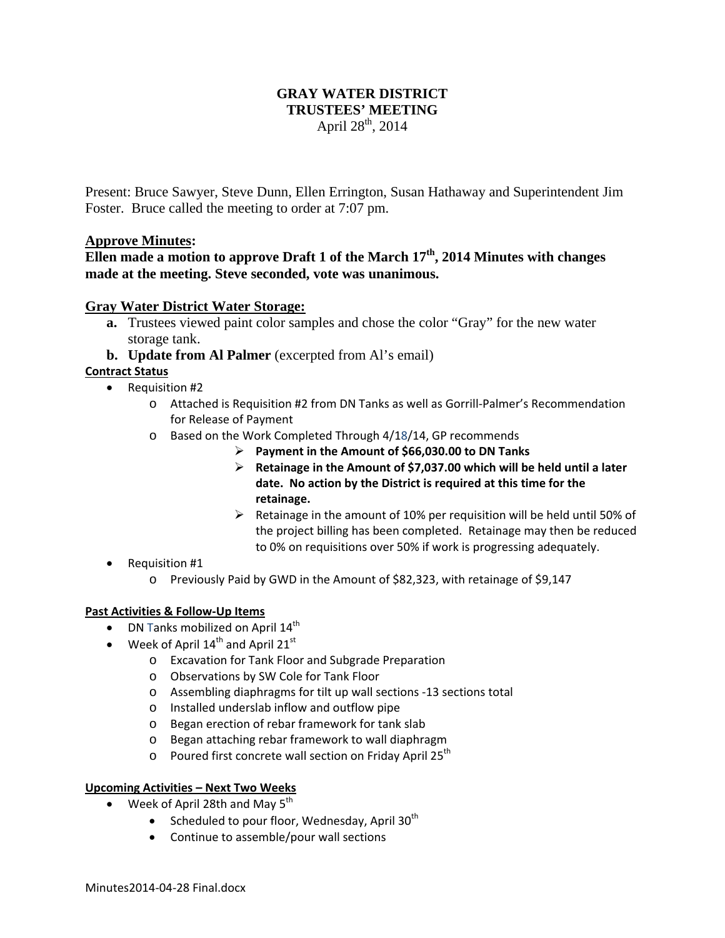# **GRAY WATER DISTRICT TRUSTEES' MEETING**  April  $28^{th}$ , 2014

Present: Bruce Sawyer, Steve Dunn, Ellen Errington, Susan Hathaway and Superintendent Jim Foster. Bruce called the meeting to order at 7:07 pm.

### **Approve Minutes:**

# **Ellen made a motion to approve Draft 1 of the March 17th, 2014 Minutes with changes made at the meeting. Steve seconded, vote was unanimous.**

## **Gray Water District Water Storage:**

- **a.** Trustees viewed paint color samples and chose the color "Gray" for the new water storage tank.
- **b. Update from Al Palmer** (excerpted from Al's email)

### **Contract Status**

- Requisition #2
	- o Attached is Requisition #2 from DN Tanks as well as Gorrill‐Palmer's Recommendation for Release of Payment
	- o Based on the Work Completed Through 4/18/14, GP recommends
		- **Payment in the Amount of \$66,030.00 to DN Tanks**
		- **Retainage in the Amount of \$7,037.00 which will be held until a later date. No action by the District is required at this time for the retainage.**
		- $\triangleright$  Retainage in the amount of 10% per requisition will be held until 50% of the project billing has been completed. Retainage may then be reduced to 0% on requisitions over 50% if work is progressing adequately.
- Requisition #1
	- o Previously Paid by GWD in the Amount of \$82,323, with retainage of \$9,147

#### **Past Activities & Follow‐Up Items**

- DN Tanks mobilized on April  $14<sup>th</sup>$
- Week of April  $14^{\text{th}}$  and April  $21^{\text{st}}$ 
	- o Excavation for Tank Floor and Subgrade Preparation
	- o Observations by SW Cole for Tank Floor
	- o Assembling diaphragms for tilt up wall sections ‐13 sections total
	- o Installed underslab inflow and outflow pipe
	- o Began erection of rebar framework for tank slab
	- o Began attaching rebar framework to wall diaphragm
	- $\circ$  Poured first concrete wall section on Friday April 25<sup>th</sup>

#### **Upcoming Activities – Next Two Weeks**

- Week of April 28th and May  $5^{th}$ 
	- Scheduled to pour floor, Wednesday, April  $30<sup>th</sup>$
	- Continue to assemble/pour wall sections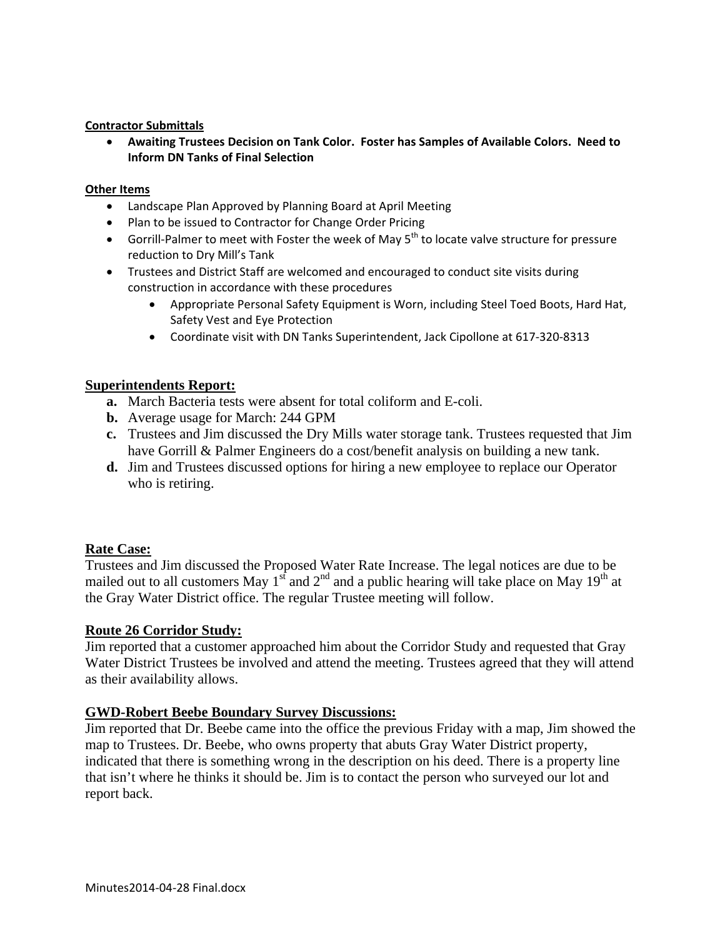### **Contractor Submittals**

 **Awaiting Trustees Decision on Tank Color. Foster has Samples of Available Colors. Need to Inform DN Tanks of Final Selection**

#### **Other Items**

- Landscape Plan Approved by Planning Board at April Meeting
- Plan to be issued to Contractor for Change Order Pricing
- Gorrill-Palmer to meet with Foster the week of May 5<sup>th</sup> to locate valve structure for pressure reduction to Dry Mill's Tank
- Trustees and District Staff are welcomed and encouraged to conduct site visits during construction in accordance with these procedures
	- Appropriate Personal Safety Equipment is Worn, including Steel Toed Boots, Hard Hat, Safety Vest and Eye Protection
	- Coordinate visit with DN Tanks Superintendent, Jack Cipollone at 617‐320‐8313

### **Superintendents Report:**

- **a.** March Bacteria tests were absent for total coliform and E-coli.
- **b.** Average usage for March: 244 GPM
- **c.** Trustees and Jim discussed the Dry Mills water storage tank. Trustees requested that Jim have Gorrill & Palmer Engineers do a cost/benefit analysis on building a new tank.
- **d.** Jim and Trustees discussed options for hiring a new employee to replace our Operator who is retiring.

#### **Rate Case:**

Trustees and Jim discussed the Proposed Water Rate Increase. The legal notices are due to be mailed out to all customers May 1<sup>st</sup> and  $2<sup>nd</sup>$  and a public hearing will take place on May 19<sup>th</sup> at the Gray Water District office. The regular Trustee meeting will follow.

## **Route 26 Corridor Study:**

Jim reported that a customer approached him about the Corridor Study and requested that Gray Water District Trustees be involved and attend the meeting. Trustees agreed that they will attend as their availability allows.

## **GWD-Robert Beebe Boundary Survey Discussions:**

Jim reported that Dr. Beebe came into the office the previous Friday with a map, Jim showed the map to Trustees. Dr. Beebe, who owns property that abuts Gray Water District property, indicated that there is something wrong in the description on his deed. There is a property line that isn't where he thinks it should be. Jim is to contact the person who surveyed our lot and report back.